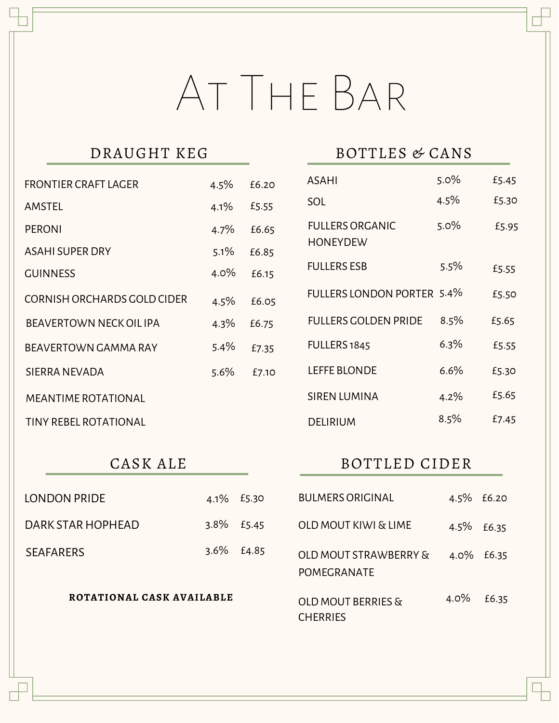# At The Bar

| <b>FRONTIER CRAFT LAGER</b>  | 4.5%    | £6.20 |
|------------------------------|---------|-------|
| AMSTEL                       | 4.1%    | £5.55 |
| <b>PERONI</b>                | 4.7%    | £6.65 |
| <b>ASAHI SUPER DRY</b>       | 5.1%    | £6.85 |
| <b>GUINNESS</b>              | $4.0\%$ | £6.15 |
| CORNISH ORCHARDS GOLD CIDER  | 4.5%    | £6.05 |
| BEAVERTOWN NECK OIL IPA      | 4.3%    | £6.75 |
| <b>BEAVERTOWN GAMMA RAY</b>  | 5.4%    | £7.35 |
| SIERRA NEVADA                | 5.6%    | £7.10 |
| <b>MEANTIME ROTATIONAL</b>   |         |       |
| <b>TINY REBEL ROTATIONAL</b> |         |       |

## BOTTLES & CANS

| ASAHI                                     | $5.0\%$ | £5.45 |
|-------------------------------------------|---------|-------|
| SOL                                       | 4.5%    | £5.30 |
| <b>FULLERS ORGANIC</b><br><b>HONEYDEW</b> | 5.0%    | £5.95 |
| <b>FULLERS ESB</b>                        | 5.5%    | £5.55 |
| <b>FULLERS LONDON PORTER</b>              | 5.4%    | £5.50 |
| <b>FULLERS GOLDEN PRIDE</b>               | 8.5%    | £5.65 |
| FULLERS 1845                              | 6.3%    | £5.55 |
| <b>LEFFE BLONDE</b>                       | $6.6\%$ | £5.30 |
| <b>SIREN LUMINA</b>                       | 4.2%    | £5.65 |
| DELIRIUM                                  | 8.5%    | £7.45 |

## CASK ALE

## BOTTLED CIDER

| LONDON PRIDE              |         | 4.1% £5.30    | <b>BULMERS ORIGINAL</b>                                |               | 4.5% £6.20 |
|---------------------------|---------|---------------|--------------------------------------------------------|---------------|------------|
| DARK STAR HOPHEAD         |         | $3.8\%$ £5.45 | <b>OLD MOUT KIWI &amp; LIME</b>                        | $4.5\%$ £6.35 |            |
| <b>SEAFARERS</b>          | $3.6\%$ | £4.85         | <b>OLD MOUT STRAWBERRY &amp;</b><br><b>POMEGRANATE</b> |               | 4.0% £6.35 |
| ROTATIONAL CASK AVAILABLE |         |               | OLD MOUT BERRIES &<br><b>CHERRIES</b>                  | $4.0\%$       | £6.35      |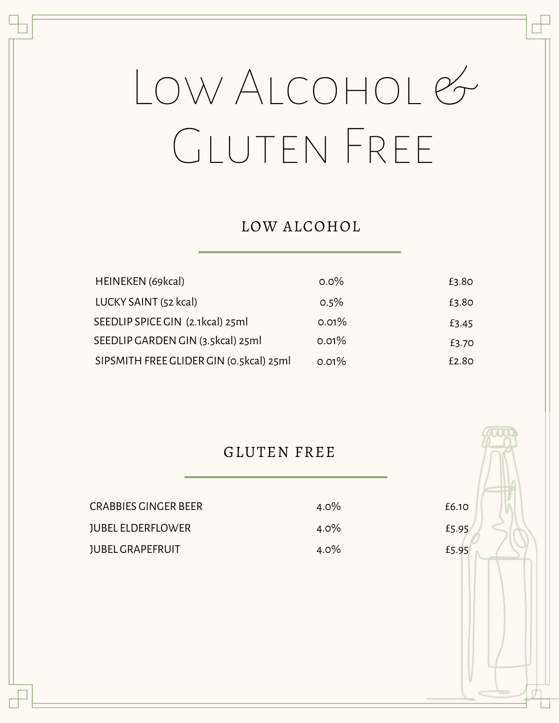# Low Alcohol & Gluten Free

#### LOW ALCOHOL

| HEINEKEN (69kcal)                       | $0.0\%$ | £3.80 |
|-----------------------------------------|---------|-------|
| LUCKY SAINT (52 kcal)                   | 0.5%    | £3.80 |
| SEEDLIP SPICE GIN (2.1kcal) 25ml        | 0.01%   | £3.45 |
| SEEDLIP GARDEN GIN (3.5kcal) 25ml       | 0.01%   | £3.70 |
| SIPSMITH FREE GLIDER GIN (0.5kcal) 25ml | 0.01%   | £2.80 |

#### GLUTEN FREE

| CRABBIES GINGER BEER     | $4.0\%$ |
|--------------------------|---------|
| <b>JUBEL ELDERFLOWER</b> | $4.0\%$ |
| <b>JUBEL GRAPEFRUIT</b>  | $4.0\%$ |

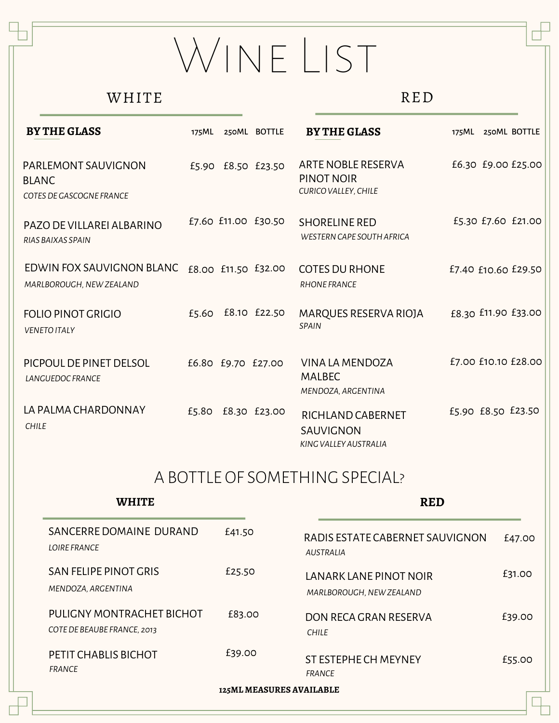# WINE LIST

#### WHITE

#### RED

| <b>BY THE GLASS</b>                                             | 175ML | 250ML BOTTLE        | <b>BY THE GLASS</b>                                             |                    | 175ML 250ML BOTTLE  |
|-----------------------------------------------------------------|-------|---------------------|-----------------------------------------------------------------|--------------------|---------------------|
| PARLEMONT SAUVIGNON<br><b>BLANC</b><br>COTES DE GASCOGNE FRANCE |       | £5.90 £8.50 £23.50  | ARTE NOBLE RESERVA<br>PINOT NOIR<br><b>CURICO VALLEY, CHILE</b> |                    | £6.30 £9.00 £25.00  |
| PAZO DE VILLAREI ALBARINO<br>RIAS BAIXAS SPAIN                  |       | £7.60 £11.00 £30.50 | <b>SHORELINE RED</b><br>WESTERN CAPE SOUTH AFRICA               |                    | £5.30 £7.60 £21.00  |
| EDWIN FOX SAUVIGNON BLANC<br>MARLBOROUGH, NEW ZEALAND           |       | £8.00 £11.50 £32.00 | <b>COTES DU RHONE</b><br><b>RHONE FRANCE</b>                    |                    | £7.40 £10.60 £29.50 |
| <b>FOLIO PINOT GRIGIO</b><br><b>VENETO ITALY</b>                |       | £5.60 £8.10 £22.50  | MARQUES RESERVA RIOJA<br><b>SPAIN</b>                           |                    | £8.30 £11.90 £33.00 |
| PICPOUL DE PINET DELSOL<br><b>LANGUEDOC FRANCE</b>              |       | £6.80 £9.70 £27.00  | VINA LA MENDOZA<br><b>MALBEC</b><br>MENDOZA, ARGENTINA          |                    | £7.00 £10.10 £28.00 |
| LA PALMA CHARDONNAY<br><b>CHILE</b>                             |       | £5.80 £8.30 £23.00  | RICHLAND CABERNET<br><b>SAUVIGNON</b><br>KING VALLEY AUSTRALIA  | £5.90 £8.50 £23.50 |                     |

## A BOTTLE OF SOMETHING SPECIAL?

| <b>WHITE</b>                                             |                                 | <b>RED</b>                                          |        |
|----------------------------------------------------------|---------------------------------|-----------------------------------------------------|--------|
| SANCERRE DOMAINE DURAND<br><b>LOIRE FRANCE</b>           | £41.50                          | RADIS ESTATE CABERNET SAUVIGNON<br><b>AUSTRALIA</b> | £47.00 |
| <b>SAN FELIPE PINOT GRIS</b><br>MENDOZA, ARGENTINA       | £25.50                          | LANARK LANE PINOT NOIR<br>MARLBOROUGH, NEW ZEALAND  | £31.00 |
| PULIGNY MONTRACHET BICHOT<br>COTE DE BEAUBE FRANCE, 2013 | £83.00                          | DON RECA GRAN RESERVA<br><b>CHILE</b>               | £39.00 |
| PETIT CHABLIS BICHOT<br><b>FRANCE</b>                    | £39.00                          | ST ESTEPHE CH MEYNEY<br><b>FRANCE</b>               | £55.00 |
|                                                          | <b>125ML MEASURES AVAILABLE</b> |                                                     |        |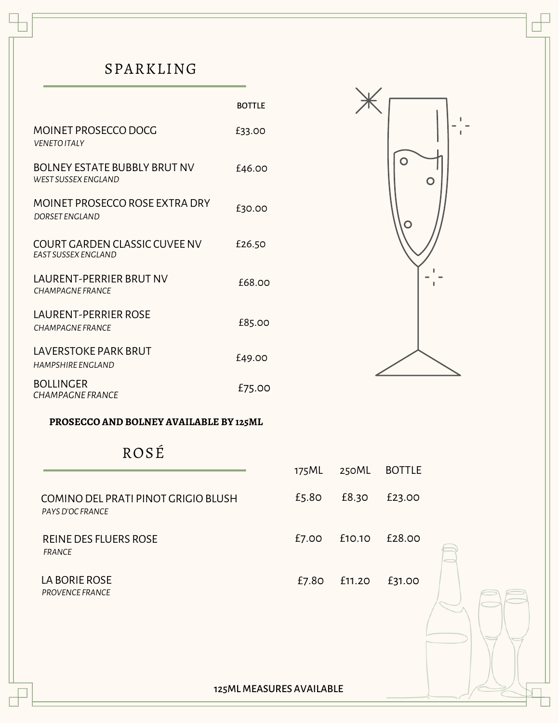## SPARKLING

|                                                             | <b>BOTTLE</b> |
|-------------------------------------------------------------|---------------|
| <b>MOINET PROSECCO DOCG</b><br><b>VENETO ITAI Y</b>         | £33.00        |
| BOLNEY ESTATE BUBBLY BRUT NV<br>WEST SUSSEX ENGLAND         | £46.00        |
| MOINET PROSECCO ROSE EXTRA DRY<br>DORSET ENGLAND            | £30.00        |
| COURT GARDEN CLASSIC CUVEE NV<br><b>FAST SUSSEX ENGLAND</b> | £26.50        |
| LAURENT-PERRIER BRUT NV<br>CHAMPAGNE FRANCE                 | £68.00        |
| LAURENT-PERRIER ROSE<br>CHAMPAGNE FRANCE                    | £85.00        |
| <b>LAVERSTOKE PARK BRUT</b><br>HAMPSHIRF FNGI AND           | £49.00        |
| BOLLINGER<br>CHAMPAGNE FRANCE                               | £75.00        |



**PROSECCO AND BOLNEY AVAILABLE BY 125ML**

# ROSÉ

|                                                         | 175ML | 250ML  | <b>BOTTLE</b> |  |
|---------------------------------------------------------|-------|--------|---------------|--|
| COMINO DEL PRATI PINOT GRIGIO BLUSH<br>PAYS D'OC FRANCE | £5.80 | £8.30  | £23.00        |  |
| <b>REINE DES FLUERS ROSE</b><br><b>FRANCE</b>           | £7.00 | £10.10 | £28.00        |  |
| LA BORIE ROSE<br><b>PROVENCE FRANCE</b>                 | £7.80 | £11.20 | £31.00        |  |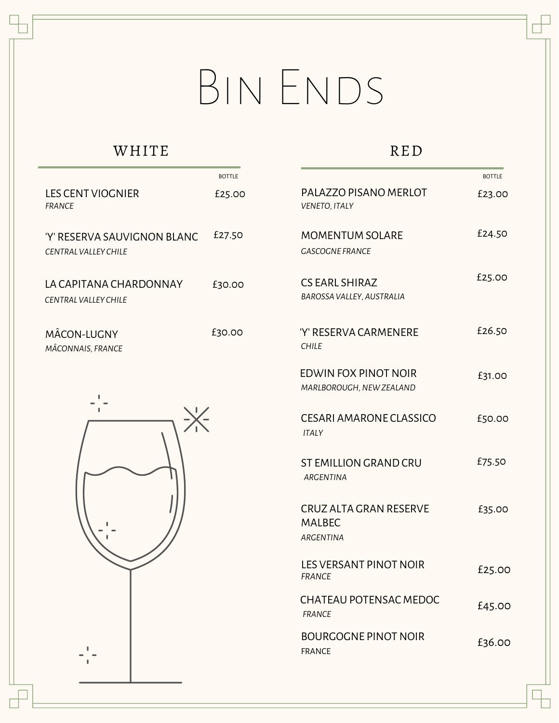# BIN ENDS

# WHITE

|                                                             | <b>BOTTLE</b> |
|-------------------------------------------------------------|---------------|
| I FS CENT VIOGNIER<br>FRANCF                                | £25.00        |
| 'Y' RESERVA SAUVIGNON BI ANC<br><b>CENTRAL VALLEY CHILE</b> | £27.50        |
| I A CAPITANA CHARDONNAY<br>CENTRAI VALLEY CHILE             | £30.00        |
| MÂCON-LUGNY                                                 | £30.00        |

*MÂCONNAIS, FRANCE*



## RED

|                                                                    | <b>BOTTLE</b> |
|--------------------------------------------------------------------|---------------|
| PALAZZO PISANO MERLOT<br>VENETO, ITALY                             | £23.00        |
| <b>MOMENTUM SOLARE</b><br><b>GASCOGNE FRANCE</b>                   | £24.50        |
| <b>CS EARL SHIRAZ</b><br>BAROSSA VALLEY, AUSTRALIA                 | £25.00        |
| 'Y' RESERVA CARMENERE<br><b>CHILE</b>                              | £26.50        |
| EDWIN FOX PINOT NOIR<br>MARLBOROUGH, NEW ZEALAND                   | £31.00        |
| <b>CESARI AMARONE CLASSICO</b><br><b>ITALY</b>                     | £50.00        |
| <b>ST EMILLION GRAND CRU</b><br><b>ARGENTINA</b>                   | £75.50        |
| <b>CRUZ ALTA GRAN RESERVE</b><br><b>MALBEC</b><br><b>ARGENTINA</b> | £35.00        |
| <b>LES VERSANT PINOT NOIR</b><br><b>FRANCE</b>                     | £25.00        |
| <b>CHATEAU POTENSAC MEDOC</b><br><b>FRANCE</b>                     | £45.00        |
| <b>BOURGOGNE PINOT NOIR</b><br><b>FRANCE</b>                       | £36.00        |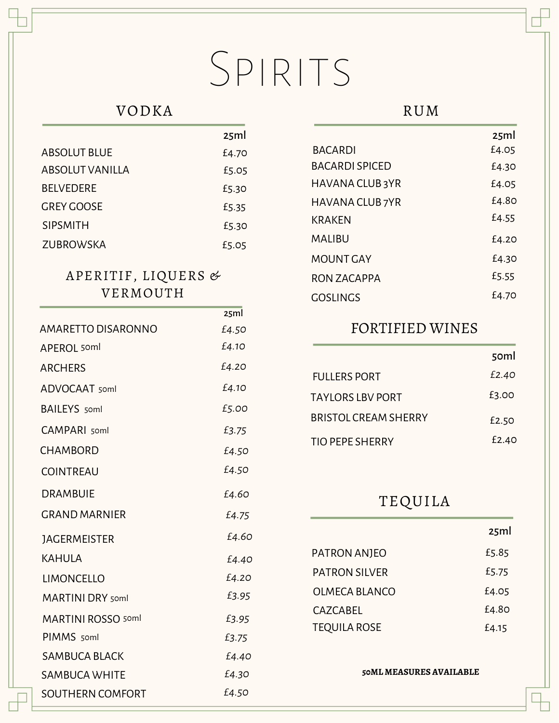# SPIRITS

 $25m$ 

### VODKA

|                     | <i><u>L</u></i> , , , , , |
|---------------------|---------------------------|
| <b>ABSOLUT BLUE</b> | £4.70                     |
| ABSOLUT VANILLA     | £5.05                     |
| <b>BELVEDERE</b>    | £5.30                     |
| <b>GREY GOOSE</b>   | £5.35                     |
| <b>SIPSMITH</b>     | £5.30                     |
| ZUBROWSKA           | £5.05                     |

#### APERITIF, LIQUERS & VERMOUTH

|                           | 25ml  |
|---------------------------|-------|
| <b>AMARETTO DISARONNO</b> | £4.50 |
| <b>APEROL</b> 50ml        | £4.10 |
| <b>ARCHERS</b>            | £4.20 |
| ADVOCAAT 50ml             | £4.10 |
| <b>BAILEYS</b> soml       | £5.00 |
| <b>CAMPARI</b> 50ml       | £3.75 |
| <b>CHAMBORD</b>           | £4.50 |
| <b>COINTREAU</b>          | £4.50 |
| <b>DRAMBUIE</b>           | £4.60 |
| <b>GRAND MARNIER</b>      | £4.75 |
| <b>JAGERMEISTER</b>       | £4.60 |
| KAHULA                    | £4.40 |
| <b>LIMONCELLO</b>         | £4.20 |
| <b>MARTINI DRY</b> soml   | £3.95 |
| <b>MARTINI ROSSO 50ml</b> | £3.95 |
| PIMMS 50ml                | £3.75 |
| <b>SAMBUCA BLACK</b>      | £4.40 |
| <b>SAMBUCA WHITE</b>      | £4.30 |
| <b>SOUTHERN COMFORT</b>   | £4.50 |

#### RUM

|                  | 25ml  |
|------------------|-------|
| <b>BACARDI</b>   | £4.05 |
| BACARDI SPICED   | £4.30 |
| HAVANA CLUB 3YR  | £4.05 |
| HAVANA CLUB 7YR  | £4.80 |
| KRAKFN           | £4.55 |
| MAHRU            | £4.20 |
| <b>MOUNT GAY</b> | £4.30 |
| RON ZACAPPA      | £5.55 |
| GOSHNGS          | £4.70 |
|                  |       |

#### FORTIFIED WINES

|                         | 50 <sub>ml</sub> |
|-------------------------|------------------|
| <b>FULLERS PORT</b>     | £2.40            |
| <b>TAYLORS LBV PORT</b> | £3.00            |
| BRISTOL CREAM SHERRY    | £2.50            |
| <b>TIO PEPE SHERRY</b>  | £2.40            |

### TEQUILA

|                     | 25ml  |
|---------------------|-------|
| PATRON ANJEO        | £5.85 |
| PATRON SILVER       | £5.75 |
| OLMECA BLANCO       | £4.05 |
| CAZCABEL            | £4.80 |
| <b>TEQUILA ROSE</b> | £4.15 |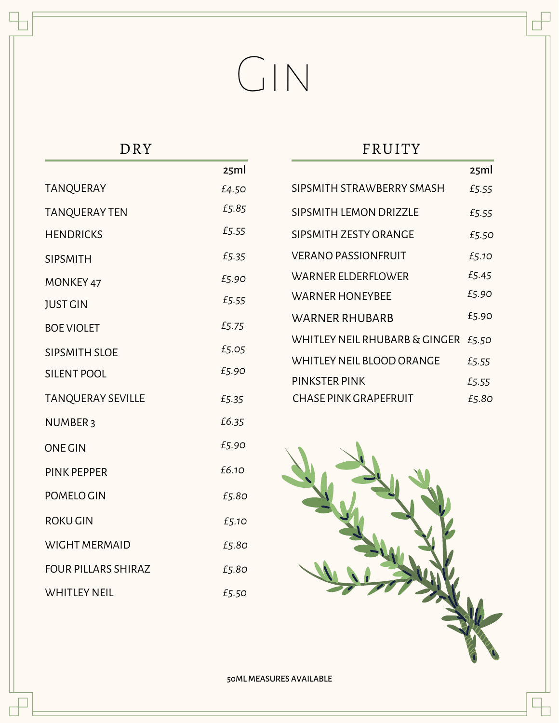# Gin

DRY

|                            | 25ml  |
|----------------------------|-------|
| <b>TANQUERAY</b>           | £4.50 |
| <b>TANQUERAY TEN</b>       | £5.85 |
| <b>HENDRICKS</b>           | £5.55 |
| <b>SIPSMITH</b>            | £5.35 |
| MONKEY 47                  | £5.90 |
| <b>JUST GIN</b>            | £5.55 |
| <b>BOE VIOLET</b>          | £5.75 |
| <b>SIPSMITH SLOE</b>       | £5.05 |
| <b>SILENT POOL</b>         | £5.90 |
| <b>TANQUERAY SEVILLE</b>   | £5.35 |
| NUMBER <sub>3</sub>        | £6.35 |
| <b>ONE GIN</b>             | £5.90 |
| <b>PINK PEPPER</b>         | £6.10 |
| POMELO GIN                 | £5.80 |
| <b>ROKU GIN</b>            | £5.10 |
| <b>WIGHT MERMAID</b>       | £5.80 |
| <b>FOUR PILLARS SHIRAZ</b> | £5.80 |
| <b>WHITLEY NEIL</b>        | £5.50 |

### FRUITY

|                               | 25ml  |
|-------------------------------|-------|
| SIPSMITH STRAWBERRY SMASH     | £5.55 |
| SIPSMITH LEMON DRIZZLE        | £5.55 |
| SIPSMITH ZESTY ORANGE         | £5.50 |
| <b>VERANO PASSIONFRUIT</b>    | £5.10 |
| WARNER ELDERFLOWER            | £5.45 |
| WARNER HONEYBEE               | £5.90 |
| WARNER RHUBARB                | £5.90 |
| WHITLEY NEIL RHUBARB & GINGER | £5.50 |
| WHITLEY NEIL BLOOD ORANGE     | £5.55 |
| PINKSTER PINK                 | £5.55 |
| <b>CHASE PINK GRAPEFRUIT</b>  | £5.80 |

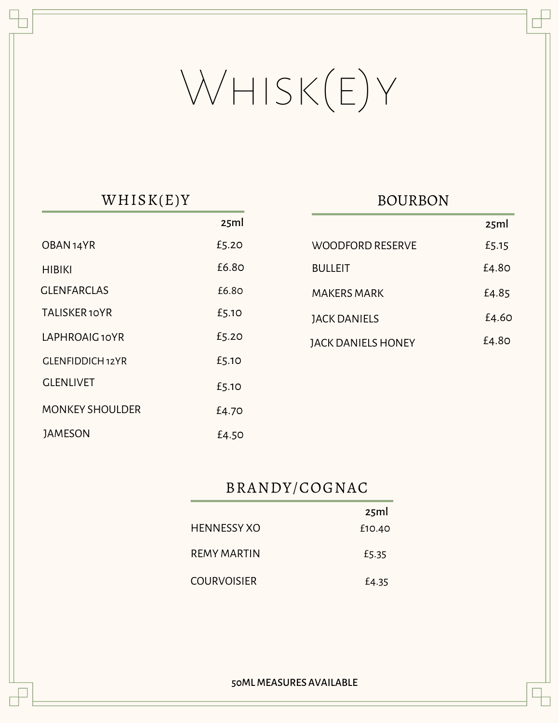# Whisk(e)y

## WHISK(E)Y

|                        | 25ml  |
|------------------------|-------|
| OBAN <sub>14</sub> YR  | £5.20 |
| HIBIKI                 | £6.80 |
| <b>GLENFARCLAS</b>     | £6.80 |
| <b>TALISKER10YR</b>    | £5.10 |
| LAPHROAIG 10YR         | £5.20 |
| GLENFIDDICH 12YR       | £5.10 |
| <b>GLENLIVET</b>       | £5.10 |
| <b>MONKEY SHOULDER</b> | £4.70 |
| <b>JAMESON</b>         | £4.50 |

### BOURBON

|                           | 25ml  |
|---------------------------|-------|
| WOODFORD RESERVE          | £5.15 |
| <b>BULLEIT</b>            | £4.80 |
| MAKERS MARK               | £4.85 |
| <b>JACK DANIELS</b>       | £4.60 |
| <b>JACK DANIELS HONEY</b> | £4.80 |

## BRANDY/COGNAC

|                    | 25ml   |
|--------------------|--------|
| <b>HENNESSY XO</b> | £10.40 |
| REMY MARTIN        | £5.35  |
| <b>COURVOISIER</b> | £4.35  |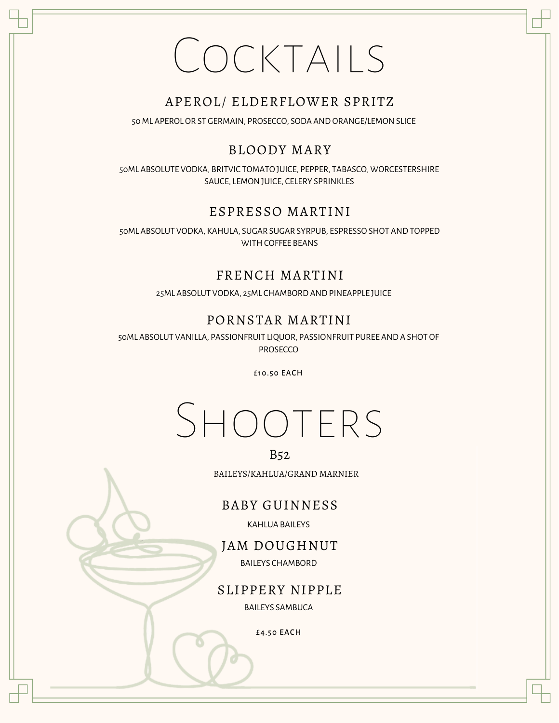# Cocktails

#### APEROL/ ELDERFLOWER SPRITZ

50 ML APEROL OR ST GERMAIN, PROSECCO, SODA AND ORANGE/LEMON SLICE

#### BLOODY MARY

50ML ABSOLUTE VODKA, BRITVIC TOMATO JUICE, PEPPER, TABASCO, WORCESTERSHIRE SAUCE, LEMONJUICE, CELERY SPRINKLES

#### ESPRESSO MARTINI

50ML ABSOLUT VODKA, KAHULA, SUGAR SUGAR SYRPUB, ESPRESSO SHOT AND TOPPED WITH COFFEE BEANS

#### FRENCH MARTINI

25ML ABSOLUT VODKA, 25ML CHAMBORD AND PINEAPPLE JUICE

#### PORNSTAR MARTINI

50ML ABSOLUT VANILLA, PASSIONFRUIT LIQUOR, PASSIONFRUIT PUREE AND A SHOT OF PROSECCO

£10.50 EACH

# Shooters

#### B52

BAILEYS/KAHLUA/GRAND MARNIER

#### BABY GUINNESS

KAHLUA BAILEYS

JAM DOUGHNUT

BAILEYS CHAMBORD

SLIPPERY NIPPLE

BAILEYS SAMBUCA

£4.50 EACH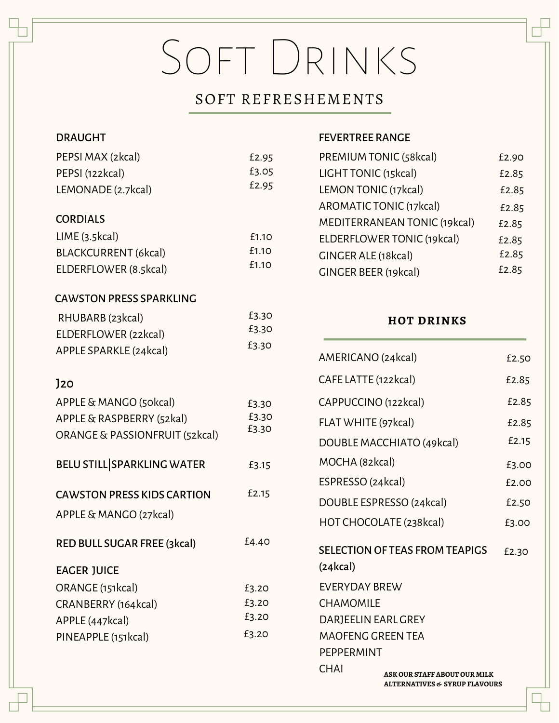# Soft Drinks

#### SOFT REFRESHEMENTS

| <b>DRAUGHT</b>                    |       |
|-----------------------------------|-------|
| PEPSI MAX (2kcal)                 | £2.95 |
| PEPSI (122kcal)                   | £3.05 |
| LEMONADE (2.7kcal)                | £2.95 |
|                                   |       |
| <b>CORDIALS</b>                   |       |
| LIME(3.5kcal)                     | £1.10 |
| BLACKCURRENT (6kcal)              | £1.10 |
| ELDERFLOWER (8.5kcal)             | £1.10 |
|                                   |       |
| <b>CAWSTON PRESS SPARKLING</b>    |       |
| RHUBARB (23kcal)                  | £3.30 |
| ELDERFLOWER (22kcal)              | £3.30 |
| APPLE SPARKLE (24kcal)            | £3.30 |
|                                   |       |
| J20                               |       |
| APPLE & MANGO (50kcal)            | £3.30 |
| APPLE & RASPBERRY (52kal)         | £3.30 |
| ORANGE & PASSIONFRUIT (52kcal)    | £3.30 |
|                                   |       |
| <b>BELU STILL SPARKLING WATER</b> | £3.15 |
|                                   |       |
| <b>CAWSTON PRESS KIDS CARTION</b> | £2.15 |
| APPLE & MANGO (27kcal)            |       |
| RED BULL SUGAR FREE (3kcal)       | £4.40 |
|                                   |       |
| <b>EAGER JUICE</b>                |       |
| ORANGE (151kcal)                  | £3.20 |
| CRANBERRY (164kcal)               | £3.20 |
| APPLE (447kcal)                   | £3.20 |
| PINEAPPLE (151kcal)               | £3.20 |
|                                   |       |
|                                   |       |
|                                   |       |

#### FEVERTREE RANGE

| PREMIUM TONIC (58kcal)       | £2.90 |
|------------------------------|-------|
| LIGHT TONIC (15kcal)         | £2.85 |
| LEMON TONIC (17kcal)         | £2.85 |
| AROMATIC TONIC (17kcal)      | £2.85 |
| MEDITERRANEAN TONIC (19kcal) | £2.85 |
| ELDERFLOWER TONIC (19kcal)   | £2.85 |
| <b>GINGER ALE (18kcal)</b>   | £2.85 |
| <b>GINGER BEER (19kcal)</b>  | £2.85 |
|                              |       |

#### **HOT DRINKS**

| AMERICANO (24kcal)                          |                                       | £2.50 |
|---------------------------------------------|---------------------------------------|-------|
| CAFE LATTE (122kcal)                        |                                       | £2.85 |
| CAPPUCCINO (122kcal)                        |                                       | £2.85 |
| FLAT WHITE (97kcal)                         |                                       | £2.85 |
|                                             | DOUBLE MACCHIATO (49kcal)             | £2.15 |
| MOCHA (82kcal)                              |                                       | £3.00 |
| ESPRESSO (24kcal)                           |                                       | f2.00 |
|                                             | DOUBLE ESPRESSO (24kcal)              | £2.50 |
|                                             | HOT CHOCOLATE (238kcal)               | £3.00 |
| (24kcal)                                    | <b>SELECTION OF TEAS FROM TEAPIGS</b> | £2.30 |
| <b>EVERYDAY BREW</b>                        |                                       |       |
| CHAMOMILE                                   |                                       |       |
| DARJEELIN EARL GREY                         |                                       |       |
| <b>MAOFENG GREEN TEA</b>                    |                                       |       |
| PFPPFRMINT                                  |                                       |       |
| <b>CHAI</b><br>ASK OUR STAFF ABOUT OUR MILK |                                       |       |
| <b>ALTERNATIVES &amp; SYRUP FLAVOURS</b>    |                                       |       |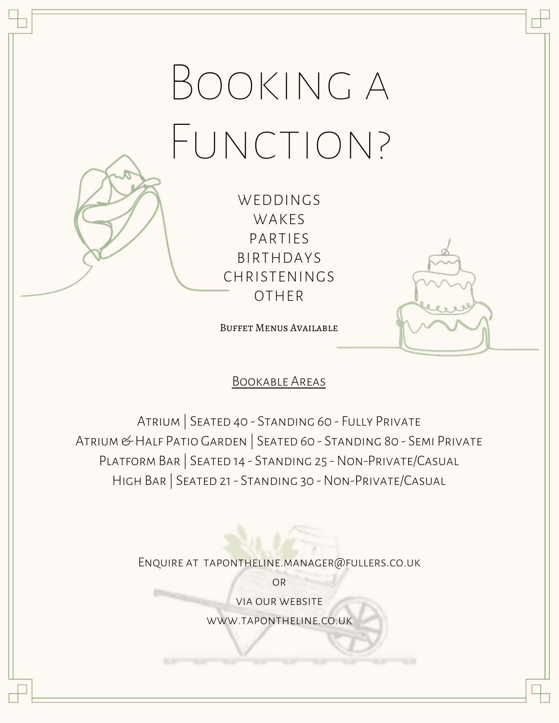# Booking a FUNCTION?

WEDDINGS WAKES PARTIES BIRTHDAYS CHRISTENINGS OTHER

Buffet Menus Available

#### Bookable Areas

Atrium | Seated 40 - Standing 60 - Fully Private Atrium & Half Patio Garden | Seated 60 - Standing 80 - Semi Private Platform Bar | Seated 14 - Standing 25 - Non-Private/Casual High Bar | Seated 21 - Standing 30 - Non-Private/Casual

Enquire at tapontheline.manager@fullers.co.uk

**OR** via our website www.tapontheline.co.uk